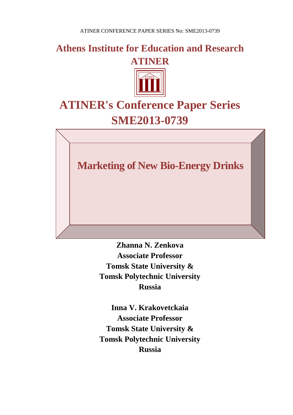**Athens Institute for Education and Research ATINER**



# **ATINER's Conference Paper Series SME2013-0739**

**Marketing of New Bio-Energy Drinks**

**Zhanna N. Zenkova Associate Professor Tomsk State University & Tomsk Polytechnic University Russia**

**Inna V. Krakovetckaia Associate Professor Tomsk State University & Tomsk Polytechnic University Russia**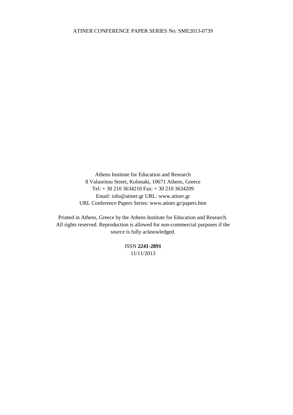Athens Institute for Education and Research 8 Valaoritou Street, Kolonaki, 10671 Athens, Greece Tel: + 30 210 3634210 Fax: + 30 210 3634209 Email: info@atiner.gr URL: www.atiner.gr URL Conference Papers Series: www.atiner.gr/papers.htm

Printed in Athens, Greece by the Athens Institute for Education and Research. All rights reserved. Reproduction is allowed for non-commercial purposes if the source is fully acknowledged.

> ISSN **2241-2891** 11/11/2013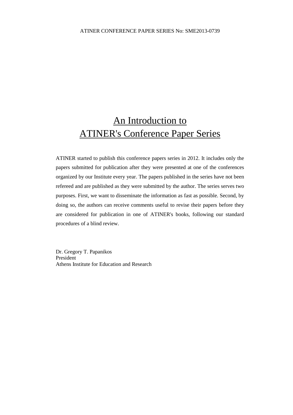# An Introduction to ATINER's Conference Paper Series

ATINER started to publish this conference papers series in 2012. It includes only the papers submitted for publication after they were presented at one of the conferences organized by our Institute every year. The papers published in the series have not been refereed and are published as they were submitted by the author. The series serves two purposes. First, we want to disseminate the information as fast as possible. Second, by doing so, the authors can receive comments useful to revise their papers before they are considered for publication in one of ATINER's books, following our standard procedures of a blind review.

Dr. Gregory T. Papanikos President Athens Institute for Education and Research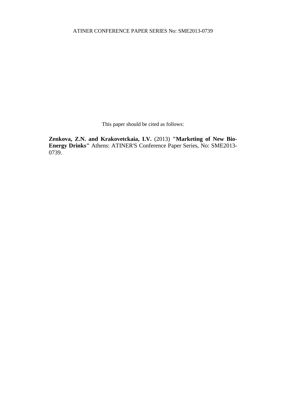This paper should be cited as follows:

**Zenkova, Z.N. and Krakovetckaia, I.V.** (2013) **"Marketing of New Bio-Energy Drinks"** Athens: ATINER'S Conference Paper Series, No: SME2013- 0739.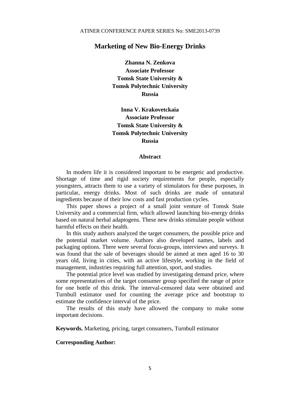# **Marketing of New Bio-Energy Drinks**

**Zhanna N. Zenkova Associate Professor Tomsk State University & Tomsk Polytechnic University Russia**

**Inna V. Krakovetckaia Associate Professor Tomsk State University & Tomsk Polytechnic University Russia**

#### **Abstract**

In modern life it is considered important to be energetic and productive. Shortage of time and rigid society requirements for people, especially youngsters, attracts them to use a variety of stimulators for these purposes, in particular, energy drinks. Most of such drinks are made of unnatural ingredients because of their low costs and fast production cycles.

This paper shows a project of a small joint venture of Tomsk State University and a commercial firm, which allowed launching bio-energy drinks based on natural herbal adaptogens. These new drinks stimulate people without harmful effects on their health.

In this study authors analyzed the target consumers, the possible price and the potential market volume. Authors also developed names, labels and packaging options. There were several focus-groups, interviews and surveys. It was found that the sale of beverages should be aimed at men aged 16 to 30 years old, living in cities, with an active lifestyle, working in the field of management, industries requiring full attention, sport, and studies.

The potential price level was studied by investigating demand price, where some representatives of the target consumer group specified the range of price for one bottle of this drink. The interval-censored data were obtained and Turnbull estimator used for counting the average price and bootstrap to estimate the confidence interval of the price.

The results of this study have allowed the company to make some important decisions.

**Keywords.** Marketing, pricing, target consumers, Turnbull estimator

#### **Corresponding Author:**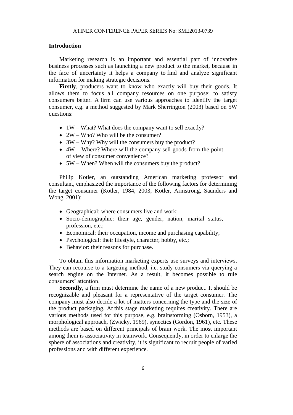#### **Introduction**

Marketing research is an important and essential part of innovative business processes such as launching a new product to the market, because in the face of uncertainty it helps a company to find and analyze significant information for making strategic decisions.

Firstly, producers want to know who exactly will buy their goods. It allows them to focus all company resources on one purpose: to satisfy consumers better. A firm can use various approaches to identify the target consumer, e.g. a method suggested by Mark Sherrington (2003) based on 5W questions:

- $\bullet$  1W What? What does the company want to sell exactly?
- 2W Who? Who will be the consumer?
- 3W Why? Why will the consumers buy the product?
- 4W Where? Where will the company sell goods from the point of view of consumer convenience?
- 5W When? When will the consumers buy the product?

Philip Kotler, an outstanding American marketing professor and consultant, emphasized the importance of the following factors for determining the target consumer (Kotler, 1984, 2003; Kotler, Armstrong, Saunders and Wong, 2001):

- Geographical: where consumers live and work;
- Socio-demographic: their age, gender, nation, marital status, profession, etc.;
- Economical: their occupation, income and purchasing capability;
- Psychological: their lifestyle, character, hobby, etc.;
- Behavior: their reasons for purchase.

To obtain this information marketing experts use surveys and interviews. They can recourse to a targeting method, i.e. study consumers via querying a search engine on the Internet. As a result, it becomes possible to rule consumers' attention.

**Secondly**, a firm must determine the name of a new product. It should be recognizable and pleasant for a representative of the target consumer. The company must also decide a lot of matters concerning the type and the size of the product packaging. At this stage marketing requires creativity. There are various methods used for this purpose, e.g. brainstorming (Osborn, 1953), a morphological approach, (Zwicky, 1969), synectics (Gordon, 1961), etc. These methods are based on different principals of brain work. The most important among them is associativity in teamwork. Consequently, in order to enlarge the sphere of associations and creativity, it is significant to recruit people of varied professions and with different experience.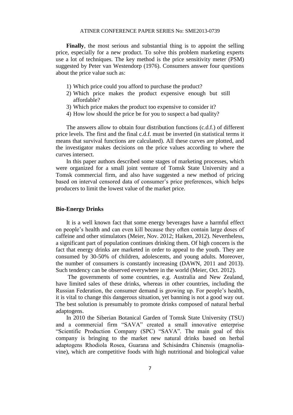**Finally**, the most serious and substantial thing is to appoint the selling price, especially for a new product. To solve this problem marketing experts use a lot of techniques. The key method is the price sensitivity meter (PSM) suggested by Peter van Westendorp (1976). Consumers answer four questions about the price value such as:

- 1) Which price could you afford to purchase the product?
- 2) Which price makes the product expensive enough but still affordable?
- 3) Which price makes the product too expensive to consider it?
- 4) How low should the price be for you to suspect a bad quality?

The answers allow to obtain four distribution functions (c.d.f.) of different price levels. The first and the final c.d.f. must be inverted (in statistical terms it means that survival functions are calculated). All these curves are plotted, and the investigator makes decisions on the price values according to where the curves intersect.

In this paper authors described some stages of marketing processes, which were organized for a small joint venture of Tomsk State University and a Tomsk commercial firm, and also have suggested a new method of pricing based on interval censored data of consumer's price preferences, which helps producers to limit the lowest value of the market price.

#### **Bio-Energy Drinks**

It is a well known fact that some energy beverages have a harmful effect on people's health and can even kill because they often contain large doses of caffeine and other stimulators (Meier, Nov. 2012; Haiken, 2012). Nevertheless, a significant part of population continues drinking them. Of high concern is the fact that energy drinks are marketed in order to appeal to the youth. They are consumed by 30-50% of children, adolescents, and young adults. Moreover, the number of consumers is constantly increasing (DAWN, 2011 and 2013). Such tendency can be observed everywhere in the world (Meier, Oct. 2012).

The governments of some countries, e.g. Australia and New Zealand, have limited sales of these drinks, whereas in other countries, including the Russian Federation, the consumer demand is growing up. For people's health, it is vital to change this dangerous situation, yet banning is not a good way out. The best solution is presumably to promote drinks composed of natural herbal adaptogens.

In 2010 the Siberian Botanical Garden of Tomsk State University (TSU) and a commercial firm "SAVA" created a small innovative enterprise "Scientific Production Company (SPC) "SAVA". The main goal of this company is bringing to the market new natural drinks based on herbal adaptogens Rhodiola Rosea, Guarana and Schisándra Chinensis (magnoliavine), which are competitive foods with high nutritional and biological value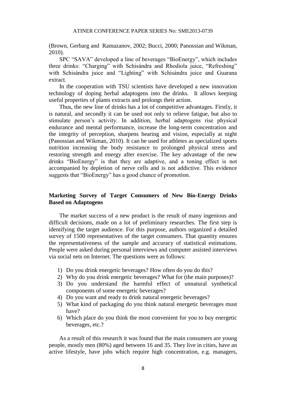(Brown, Gerbarg and Ramazanov, 2002; Bucci, 2000; Panossian and Wikman, 2010).

SPC "SAVA" developed a line of beverages "BioEnergy", which includes three drinks: "Charging" with Schisándra and Rhodiola juice, "Refreshing" with Schisándra juice and "Lighting" with Schisándra juice and Guarana extract.

In the cooperation with TSU scientists have developed a new innovation technology of doping herbal adaptogens into the drinks. It allows keeping useful properties of plants extracts and prolongs their action.

Thus, the new line of drinks has a lot of competitive advantages. Firstly, it is natural, and secondly it can be used not only to relieve fatigue, but also to stimulate person's activity. In addition, herbal adaptogens rise physical endurance and mental performance, increase the long-term concentration and the integrity of perception, sharpens hearing and vision, especially at night (Panossian and Wikman, 2010). It can be used for athletes as specialized sports nutrition increasing the body resistance to prolonged physical stress and restoring strength and energy after exercise. The key advantage of the new drinks "BioEnergy" is that they are adaptive, and a toning effect is not accompanied by depletion of nerve cells and is not addictive. This evidence suggests that "BioEnergy" has a good chance of promotion.

## **Marketing Survey of Target Consumers of New Bio-Energy Drinks Based on Adaptogens**

The market success of a new product is the result of many ingenious and difficult decisions, made on a lot of preliminary researches. The first step is identifying the target audience. For this purpose, authors organized a detailed survey of 1500 representatives of the target consumers. That quantity ensures the representativeness of the sample and accuracy of statistical estimations. People were asked during personal interviews and computer assisted interviews via social nets on Internet. The questions were as follows:

- 1) Do you drink energetic beverages? How often do you do this?
- 2) Why do you drink energetic beverages? What for (the main purposes)?
- 3) Do you understand the harmful effect of unnatural synthetical components of some energetic beverages?
- 4) Do you want and ready to drink natural energetic beverages?
- 5) What kind of packaging do you think natural energetic beverages must have?
- 6) Which place do you think the most convenient for you to buy energetic beverages, etc.?

As a result of this research it was found that the main consumers are young people, mostly men (80%) aged between 16 and 35. They live in cities, have an active lifestyle, have jobs which require high concentration, e.g. managers,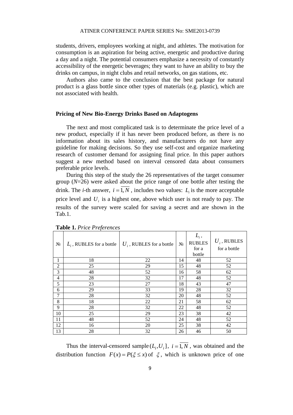students, drivers, employees working at night, and athletes. The motivation for consumption is an aspiration for being active, energetic and productive during a day and a night. The potential consumers emphasize a necessity of constantly accessibility of the energetic beverages; they want to have an ability to buy the drinks on campus, in night clubs and retail networks, on gas stations, etc.

Authors also came to the conclusion that the best package for natural product is a glass bottle since other types of materials (e.g. plastic), which are not associated with health.

#### **Pricing of New Bio-Energy Drinks Based on Adaptogens**

The next and most complicated task is to determinate the price level of a new product, especially if it has never been produced before, as there is no information about its sales history, and manufacturers do not have any guideline for making decisions. So they use self-cost and organize marketing research of customer demand for assigning final price. In this paper authors suggest a new method based on interval censored data about consumers preferable price levels.

During this step of the study the 26 representatives of the target consumer group (*N*=26) were asked about the price range of one bottle after testing the drink. The *i*-th answer,  $i = 1, N$ , includes two values:  $L_i$  is the more acceptable price level and  $U_i$  is a highest one, above which user is not ready to pay. The results of the survey were scaled for saving a secret and are shown in the Tab.1.

| $N_2$          | $L_i$ , RUBLES for a bottle | $U_i$ , RUBLES for a bottle | $N_2$ | $L_i$ ,<br><b>RUBLES</b><br>for a<br>bottle | $U_i$ , RUBLES<br>for a bottle |
|----------------|-----------------------------|-----------------------------|-------|---------------------------------------------|--------------------------------|
| 1              | 18                          | 22                          | 14    | 48                                          | 52                             |
| $\overline{2}$ | 25                          | 29                          | 15    | 48                                          | 52                             |
| 3              | 48                          | 52                          | 16    | 58                                          | 62                             |
| 4              | 28                          | 32                          | 17    | 48                                          | 52                             |
| 5              | 23                          | 27                          | 18    | 43                                          | 47                             |
| 6              | 29                          | 33                          | 19    | 28                                          | 32                             |
| 7              | 28                          | 32                          | 20    | 48                                          | 52                             |
| 8              | 18                          | 22                          | 21    | 58                                          | 62                             |
| 9              | 28                          | 32                          | 22    | 48                                          | 52                             |
| 10             | 25                          | 29                          | 23    | 38                                          | 42                             |
| 11             | 48                          | 52                          | 24    | 48                                          | 52                             |
| 12             | 16                          | 20                          | 25    | 38                                          | 42                             |
| 13             | 28                          | 32                          | 26    | 46                                          | 50                             |

**Table 1.** *Price Preferences*

Thus the interval-censored sample  $(L_i, U_i]$ ,  $i = 1, N$ , was obtained and the distribution function  $F(x) = P(\xi \le x)$  of  $\xi$ , which is unknown price of one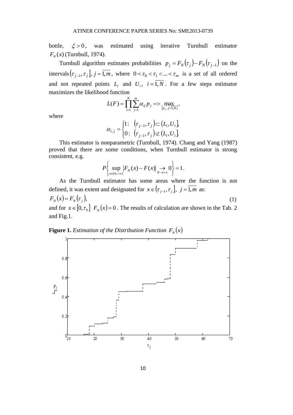bottle,  $\xi > 0$ , was estimated using iterative Turnbull estimator  $F_N(x)$  (Turnbull, 1974).

Turnbull algorithm estimates probabilities  $p_j = F_N(\tau_j) - F_N(\tau_{j-1})$  on the intervals  $(\tau_{j-1}, \tau_j)$ ,  $j = 1, m$ , where  $0 < \tau_0 < \tau_1 < ... < \tau_m$  is a set of all ordered and not repeated points  $L_i$  and  $U_i$ ,  $i = 1, N$ . For a few steps estimator maximizes the likelihood function

> $\{p_i, j=1,m\}$ *N i m j*  $\sum_{i,j} P_j \sim \sum_{\{p_j\}} P_j$  $L(F) = \prod_{i=1}^{n} \sum_{j=1}^{n} \alpha_{ij} p_{j} \Rightarrow \max_{\{p_{j}, j=1, \ldots, n\}}$  $F(F) = \prod_{i=1}^{n} \sum_{j=1}^{n} \alpha_{ij} p_j \Rightarrow \max_{\{p_j, j=1, m\}}$

where

$$
\alpha_{i,j} = \begin{cases} 1: & \left(\tau_{j-1}, \tau_j\right) \subset \left(L_i, U_i\right) \\ 0: & \left(\tau_{j-1}, \tau_j\right) \not\subset \left(L_i, U_i\right) \end{cases}
$$

This estimator is nonparametric (Turnbull, 1974). Chang and Yang (1987) proved that there are some conditions, when Turnbull estimator is strong consistent, e.g.

$$
P\bigg\{\sup_{x\in(0,+\infty)}\big|F_N(x)-F(x)\big|\underset{N\to+\infty}{\to}0\bigg\}=1.
$$

As the Turnbull estimator has some areas where the function is not defined, it was extent and designated for  $x \in (\tau_{j-1}, \tau_j]$ ,  $j = 1, m$  as:

 $F_N(x) = F_N(\tau_i)$ , (1) and for  $x \in [0, \tau_0]$   $F_N(x) = 0$ . The results of calculation are shown in the Tab. 2 and Fig.1.

**Figure 1.** Estimation of the Distribution Function  $F_N(x)$ 

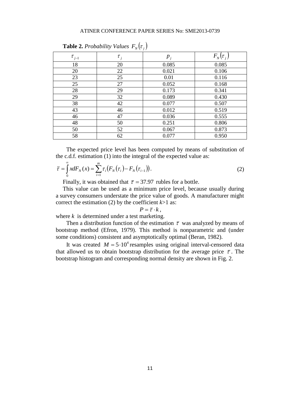| $\checkmark$<br>$N \setminus J$ |            |       |               |  |  |  |
|---------------------------------|------------|-------|---------------|--|--|--|
| $\tau_{_{j-1}}$                 | $\tau_{j}$ | $p_j$ | $F_N(\tau_j)$ |  |  |  |
| 18                              | 20         | 0.085 | 0.085         |  |  |  |
| 20                              | 22         | 0.021 | 0.106         |  |  |  |
| 23                              | 25         | 0.01  | 0.116         |  |  |  |
| 25                              | 27         | 0.052 | 0.168         |  |  |  |
| 28                              | 29         | 0.173 | 0.341         |  |  |  |
| 29                              | 32         | 0.089 | 0.430         |  |  |  |
| 38                              | 42         | 0.077 | 0.507         |  |  |  |
| 43                              | 46         | 0.012 | 0.519         |  |  |  |
| 46                              | 47         | 0.036 | 0.555         |  |  |  |
| 48                              | 50         | 0.251 | 0.806         |  |  |  |
| 50                              | 52         | 0.067 | 0.873         |  |  |  |
| 58                              | 62         | 0.077 | 0.950         |  |  |  |

**Table 2.** Probability Values  $F_N(\tau_j)$ 

The expected price level has been computed by means of substitution of the c.d.f. estimation (1) into the integral of the expected value as:

$$
\bar{\tau} = \int_{0}^{\infty} x dF_N(x) = \sum_{i=1}^{m} \tau_i (F_N(\tau_i) - F_N(\tau_{i-1})).
$$
\n(2)

Finally, it was obtained that  $\bar{\tau} = 37.97$  rubles for a bottle.

This value can be used as a minimum price level, because usually during a survey consumers understate the price value of goods. A manufacturer might correct the estimation (2) by the coefficient  $k > 1$  as:

$$
P=\overline{\tau}\cdot k\,,
$$

where *k* is determined under a test marketing.

Then a distribution function of the estimation  $\bar{\tau}$  was analyzed by means of bootstrap method (Efron, 1979). This method is nonparametric and (under some conditions) consistent and asymptotically optimal (Beran, 1982).

It was created  $M = 5.10^4$  resamples using original interval-censored data that allowed us to obtain bootstrap distribution for the average price  $\bar{\tau}$ . The bootstrap histogram and corresponding normal density are shown in Fig. 2.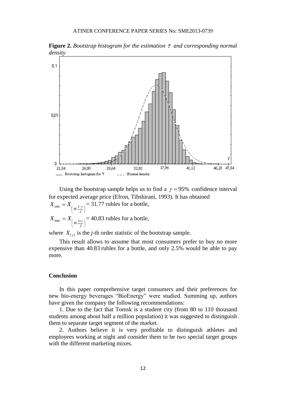

**Figure 2.** Bootstrap histogram for the estimation  $\bar{\tau}$  and corresponding normal *density*

Using the bootstrap sample helps us to find a  $\gamma = 95\%$  confidence interval for expected average price (Efron, Tibshirani, 1993). It has obtained  $\overline{\phantom{a}}$  $\left(M\frac{1-\gamma}{2}\right)$  $=X_{\left( M\frac{1}{2}\right) }^{2}$  $X_{\min} = X_{\left(M \cdot \frac{1-\gamma}{2}\right)} = 31.77$  rubles for a bottle,

 $\bigg)$  $\left(M\frac{1+\gamma}{2}\right)$  $=X_{\begin{pmatrix}1\end{pmatrix}}$  $X_{\text{max}} = X_{\left(M \cdot \frac{1 + \gamma}{2}\right)} = 40.83 \text{ rubles for a bottle,}$ 

where  $X_{(j)}$  is the *j*-th order statistic of the bootstrap sample.

This result allows to assume that most consumers prefer to buy no more expensive than 40.83 rubles for a bottle, and only 2.5% would be able to pay more.

#### **Conclusion**

In this paper comprehensive target consumers and their preferences for new bio-energy beverages "BioEnergy" were studied. Summing up, authors have given the company the following recommendations:

1. Due to the fact that Tomsk is a student city (from 80 to 110 thousand students among about half a million population) it was suggested to distinguish them to separate target segment of the market.

2. Authors believe it is very profitable to distinguish athletes and employees working at night and consider them to be two special target groups with the different marketing mixes.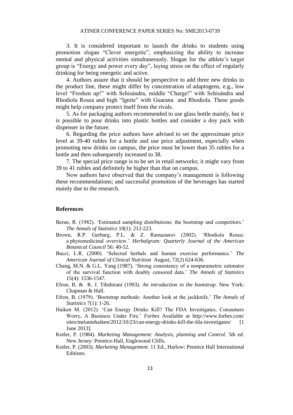3. It is considered important to launch the drinks to students using promotion slogan "Clever energetic", emphasizing the ability to increase mental and physical activities simultaneously. Slogan for the athlete's target group is "Energy and power every day", laying stress on the effect of regularly drinking for being energetic and active.

4. Authors assure that it should be perspective to add three new drinks to the product line, these might differ by concentration of adaptogens, e.g., low level "Freshen up!" with Schisándra, middle "Charge!" with Schisándra and Rhodiola Rosea and high "Ignite" with Guarana and Rhodiola. These goods might help company protect itself from the rivals.

5. As for packaging authors recommended to use glass bottle mainly, but it is possible to pour drinks into plastic bottles and consider a doy pack with dispenser in the future.

6. Regarding the price authors have advised to set the approximate price level at 39-40 rubles for a bottle and use price adjustment, especially when promoting new drinks on campus, the price must be lower than 35 rubles for a bottle and then subsequently increased to 38.

7. The special price range is to be set in retail networks; it might vary from 39 to 41 rubles and definitely be higher than that on campus.

Now authors have observed that the company's management is following these recommendations; and successful promotion of the beverages has started mainly due to the research.

#### **References**

- Beran, R. (1982). 'Estimated sampling distributions: the bootstrap and competitors.' *The Annals of Statistics* 10(1): 212-223.
- Brown, R.P. Gerbarg, P.L. & Z. Ramazanov (2002). 'Rhodiola Rosea: a phytomedicinal overview.' *Herbalgram: Quarterly Journal of the American Botanical Council* 56: 40-52.
- Bucci, L.R. (2000). 'Selected herbals and human exercise performance.' *The American Journal of Clinical Nutrition* August, 72(2) 624-636.
- Chang, M.N. & G.L. Yang (1987). 'Strong consistency of a nonparametric estimator of the survival function with doubly censored data.' *The Annals of Statistics* 15(4): 1536-1547.
- Efron, B. & R. J. Tibshirani (1993). *An introduction to the bootstrap*. New York: Chapman & Hall.
- Efron, B. (1979). 'Bootstrap methods: Another look at the jackknife.' *The Annals of Statistics* 7(1): 1-26.
- Haiken M. (2012). 'Can Energy Drinks Kill? The FDA Investigates, Consumers Worry, A Business Under Fire.' *Forbes* Available at http://www.forbes.com/ sites/melaniehaiken/2012/10/23/can-energy-drinks-kill-the-fda-investigates/ [1 June 2013].
- Kotler, P. (1984). *Marketing Management: Analysis, planning and Control.* 5th ed. New Jersey: Prentice-Hall, Englewood Cliffs.
- Kotler, P. (2003). *Marketing Management.* 11 Ed., Harlow: Prentice Hall International Editions.